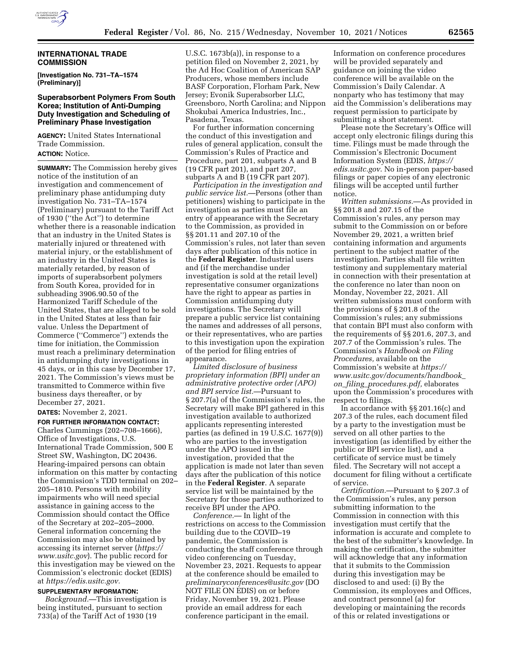

### **INTERNATIONAL TRADE COMMISSION**

**[Investigation No. 731–TA–1574 (Preliminary)]** 

## **Superabsorbent Polymers From South Korea; Institution of Anti-Dumping Duty Investigation and Scheduling of Preliminary Phase Investigation**

**AGENCY:** United States International Trade Commission. **ACTION:** Notice.

**SUMMARY:** The Commission hereby gives notice of the institution of an investigation and commencement of preliminary phase antidumping duty investigation No. 731–TA–1574 (Preliminary) pursuant to the Tariff Act of 1930 (''the Act'') to determine whether there is a reasonable indication that an industry in the United States is materially injured or threatened with material injury, or the establishment of an industry in the United States is materially retarded, by reason of imports of superabsorbent polymers from South Korea, provided for in subheading 3906.90.50 of the Harmonized Tariff Schedule of the United States, that are alleged to be sold in the United States at less than fair value. Unless the Department of Commerce (''Commerce'') extends the time for initiation, the Commission must reach a preliminary determination in antidumping duty investigations in 45 days, or in this case by December 17, 2021. The Commission's views must be transmitted to Commerce within five business days thereafter, or by December 27, 2021.

## **DATES:** November 2, 2021.

**FOR FURTHER INFORMATION CONTACT:**  Charles Cummings (202–708–1666), Office of Investigations, U.S. International Trade Commission, 500 E Street SW, Washington, DC 20436. Hearing-impaired persons can obtain information on this matter by contacting the Commission's TDD terminal on 202– 205–1810. Persons with mobility impairments who will need special assistance in gaining access to the Commission should contact the Office of the Secretary at 202–205–2000. General information concerning the Commission may also be obtained by accessing its internet server (*[https://](https://www.usitc.gov) [www.usitc.gov](https://www.usitc.gov)*). The public record for this investigation may be viewed on the Commission's electronic docket (EDIS) at *[https://edis.usitc.gov.](https://edis.usitc.gov)* 

### **SUPPLEMENTARY INFORMATION:**

*Background.*—This investigation is being instituted, pursuant to section 733(a) of the Tariff Act of 1930 (19

U.S.C. 1673b(a)), in response to a petition filed on November 2, 2021, by the Ad Hoc Coalition of American SAP Producers, whose members include BASF Corporation, Florham Park, New Jersey; Evonik Superabsorber LLC, Greensboro, North Carolina; and Nippon Shokubai America Industries, Inc., Pasadena, Texas.

For further information concerning the conduct of this investigation and rules of general application, consult the Commission's Rules of Practice and Procedure, part 201, subparts A and B (19 CFR part 201), and part 207, subparts A and B (19 CFR part 207).

*Participation in the investigation and public service list.*—Persons (other than petitioners) wishing to participate in the investigation as parties must file an entry of appearance with the Secretary to the Commission, as provided in §§ 201.11 and 207.10 of the Commission's rules, not later than seven days after publication of this notice in the **Federal Register**. Industrial users and (if the merchandise under investigation is sold at the retail level) representative consumer organizations have the right to appear as parties in Commission antidumping duty investigations. The Secretary will prepare a public service list containing the names and addresses of all persons, or their representatives, who are parties to this investigation upon the expiration of the period for filing entries of appearance.

*Limited disclosure of business proprietary information (BPI) under an administrative protective order (APO) and BPI service list.*—Pursuant to § 207.7(a) of the Commission's rules, the Secretary will make BPI gathered in this investigation available to authorized applicants representing interested parties (as defined in 19 U.S.C. 1677(9)) who are parties to the investigation under the APO issued in the investigation, provided that the application is made not later than seven days after the publication of this notice in the **Federal Register**. A separate service list will be maintained by the Secretary for those parties authorized to receive BPI under the APO.

*Conference.*— In light of the restrictions on access to the Commission building due to the COVID–19 pandemic, the Commission is conducting the staff conference through video conferencing on Tuesday, November 23, 2021. Requests to appear at the conference should be emailed to *[preliminaryconferences@usitc.gov](mailto:preliminaryconferences@usitc.gov)* (DO NOT FILE ON EDIS) on or before Friday, November 19, 2021. Please provide an email address for each conference participant in the email.

Information on conference procedures will be provided separately and guidance on joining the video conference will be available on the Commission's Daily Calendar. A nonparty who has testimony that may aid the Commission's deliberations may request permission to participate by submitting a short statement.

Please note the Secretary's Office will accept only electronic filings during this time. Filings must be made through the Commission's Electronic Document Information System (EDIS, *[https://](https://edis.usitc.gov) [edis.usitc.gov](https://edis.usitc.gov)*. No in-person paper-based filings or paper copies of any electronic filings will be accepted until further notice.

*Written submissions.*—As provided in §§ 201.8 and 207.15 of the Commission's rules, any person may submit to the Commission on or before November 29, 2021, a written brief containing information and arguments pertinent to the subject matter of the investigation. Parties shall file written testimony and supplementary material in connection with their presentation at the conference no later than noon on Monday, November 22, 2021. All written submissions must conform with the provisions of § 201.8 of the Commission's rules; any submissions that contain BPI must also conform with the requirements of §§ 201.6, 207.3, and 207.7 of the Commission's rules. The Commission's *Handbook on Filing Procedures,* available on the Commission's website at *[https://](https://www.usitc.gov/documents/handbook_on_filing_procedures.pdf) [www.usitc.gov/documents/handbook](https://www.usitc.gov/documents/handbook_on_filing_procedures.pdf)*\_ *on*\_*filing*\_*[procedures.pdf,](https://www.usitc.gov/documents/handbook_on_filing_procedures.pdf)* elaborates upon the Commission's procedures with respect to filings.

In accordance with §§ 201.16(c) and 207.3 of the rules, each document filed by a party to the investigation must be served on all other parties to the investigation (as identified by either the public or BPI service list), and a certificate of service must be timely filed. The Secretary will not accept a document for filing without a certificate of service.

*Certification.*—Pursuant to § 207.3 of the Commission's rules, any person submitting information to the Commission in connection with this investigation must certify that the information is accurate and complete to the best of the submitter's knowledge. In making the certification, the submitter will acknowledge that any information that it submits to the Commission during this investigation may be disclosed to and used: (i) By the Commission, its employees and Offices, and contract personnel (a) for developing or maintaining the records of this or related investigations or